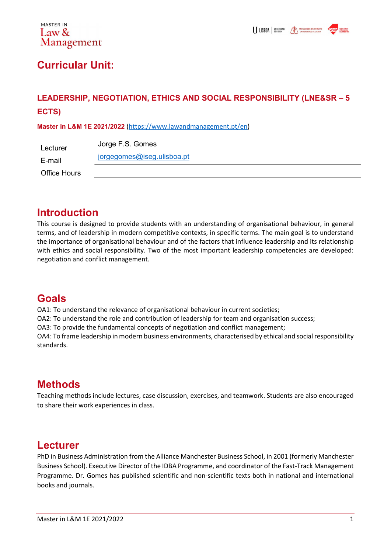# Curricular Unit:

## LEADERSHIP, NEGOTIATION, ETHICS AND SOCIAL RESPONSIBILITY (LNE&SR – 5 ECTS)

Master in L&M 1E 2021/2022 (https://www.lawandmanagement.pt/en)

| Lecturer     | Jorge F.S. Gomes           |
|--------------|----------------------------|
| E-mail       | jorgegomes@iseg.ulisboa.pt |
| Office Hours |                            |

## Introduction

This course is designed to provide students with an understanding of organisational behaviour, in general terms, and of leadership in modern competitive contexts, in specific terms. The main goal is to understand the importance of organisational behaviour and of the factors that influence leadership and its relationship with ethics and social responsibility. Two of the most important leadership competencies are developed: negotiation and conflict management.

# Goals

OA1: To understand the relevance of organisational behaviour in current societies;

OA2: To understand the role and contribution of leadership for team and organisation success;

OA3: To provide the fundamental concepts of negotiation and conflict management;

OA4: To frame leadership in modern business environments, characterised by ethical and social responsibility standards.

# Methods

Teaching methods include lectures, case discussion, exercises, and teamwork. Students are also encouraged to share their work experiences in class.

## Lecturer

PhD in Business Administration from the Alliance Manchester Business School, in 2001 (formerly Manchester Business School). Executive Director of the IDBA Programme, and coordinator of the Fast-Track Management Programme. Dr. Gomes has published scientific and non-scientific texts both in national and international books and journals.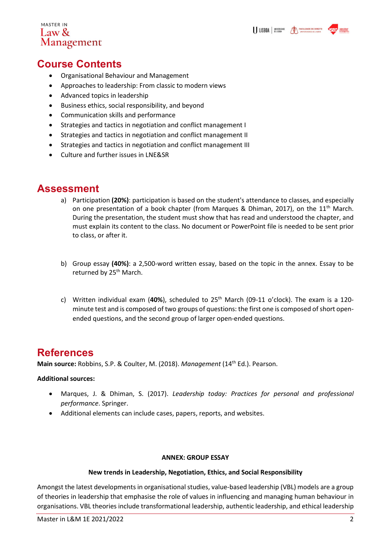ISBOA BELISSOA AN FACULDADE DE DIREITO

### MASTER IN Law & Management

# Course Contents

- Organisational Behaviour and Management
- Approaches to leadership: From classic to modern views
- Advanced topics in leadership
- Business ethics, social responsibility, and beyond
- Communication skills and performance
- Strategies and tactics in negotiation and conflict management I
- Strategies and tactics in negotiation and conflict management II
- Strategies and tactics in negotiation and conflict management III
- Culture and further issues in LNE&SR

## Assessment

- a) Participation (20%): participation is based on the student's attendance to classes, and especially on one presentation of a book chapter (from Marques & Dhiman, 2017), on the  $11<sup>th</sup>$  March. During the presentation, the student must show that has read and understood the chapter, and must explain its content to the class. No document or PowerPoint file is needed to be sent prior to class, or after it.
- b) Group essay (40%): a 2,500-word written essay, based on the topic in the annex. Essay to be returned by 25<sup>th</sup> March.
- c) Written individual exam (40%), scheduled to  $25<sup>th</sup>$  March (09-11 o'clock). The exam is a 120minute test and is composed of two groups of questions: the first one is composed of short openended questions, and the second group of larger open-ended questions.

# References

Main source: Robbins, S.P. & Coulter, M. (2018). Management (14<sup>th</sup> Ed.). Pearson.

### Additional sources:

- Marques, J. & Dhiman, S. (2017). Leadership today: Practices for personal and professional performance. Springer.
- Additional elements can include cases, papers, reports, and websites.

#### ANNEX: GROUP ESSAY

#### New trends in Leadership, Negotiation, Ethics, and Social Responsibility

Amongst the latest developments in organisational studies, value-based leadership (VBL) models are a group of theories in leadership that emphasise the role of values in influencing and managing human behaviour in organisations. VBL theories include transformational leadership, authentic leadership, and ethical leadership